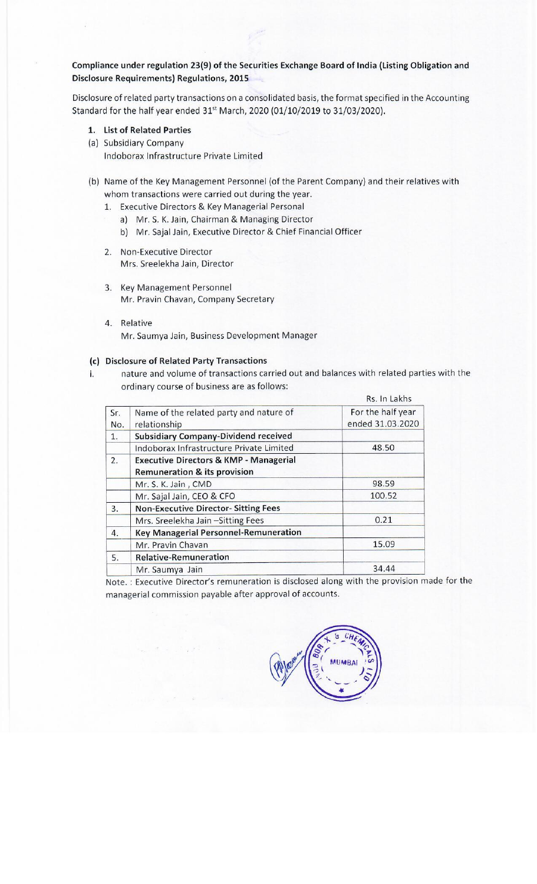## Compliance under regulation 23(9) of the Securities Exchange Board of India (Listing Obligation and Disclosure Requirements) Regulations, 2015

Disclosure of related party transactions on a consolidated basis, the format specified in the Accounting Standard for the half year ended 31% March, 2020 (01/10/2019 to 31/03/2020).

- 1. List of Related Parties
- (a) Subsidiary Company Indoborax Infrastructure Private Limited
- (b) Name of the Key Management Personnel (of the Parent Company) and their relatives with whom transactions were carried out during the year. re of related party transactions on a consection<br>of for the half year ended 31<sup>st</sup> March, 2021<br>ist of Related Parties<br>Subsidiary Company<br>Indoborax Infrastructure Private Limited<br>Name of the Key Management Personne<br>whom tra
	- 1. Executive Directors & Key Managerial Personal
		- a) Mr.S.K. Jain, Chairman & Managing Director
		- b) Mr. Sajal Jain, Executive Director & Chief Financial Officer
	- 2. Non-Executive Director Mrs. Sreelekha Jain, Director
	- 3. Key Management Personnel Mr. Pravin Chavan, Company Secretary
	- 4. Relative Mr. Saumya Jain, Business Development Manager

## (c) Disclosure of Related Party Transactions

i. nature and volume of transactions carried out and balances with related parties with the ordinary course of business are as follows:

|          | <b>List of Related Parties</b>                                                                                                                                                                                                                                                                            |                   |
|----------|-----------------------------------------------------------------------------------------------------------------------------------------------------------------------------------------------------------------------------------------------------------------------------------------------------------|-------------------|
|          | <b>Subsidiary Company</b>                                                                                                                                                                                                                                                                                 |                   |
|          | Indoborax Infrastructure Private Limited                                                                                                                                                                                                                                                                  |                   |
| 1.<br>a) | Name of the Key Management Personnel (of the Parent Company) and their relativ<br>whom transactions were carried out during the year.<br>Executive Directors & Key Managerial Personal<br>Mr. S. K. Jain, Chairman & Managing Director<br>b) Mr. Sajal Jain, Executive Director & Chief Financial Officer |                   |
| 2.       | <b>Non-Executive Director</b><br>Mrs. Sreelekha Jain, Director                                                                                                                                                                                                                                            |                   |
| 3.       | <b>Key Management Personnel</b><br>Mr. Pravin Chavan, Company Secretary                                                                                                                                                                                                                                   |                   |
| 4.       | Relative<br>Mr. Saumya Jain, Business Development Manager<br><b>Disclosure of Related Party Transactions</b><br>nature and volume of transactions carried out and balances with related parti<br>ordinary course of business are as follows:                                                              |                   |
|          |                                                                                                                                                                                                                                                                                                           | Rs. In Lakhs      |
| Sr.      | Name of the related party and nature of                                                                                                                                                                                                                                                                   | For the half year |
| No.      | relationship                                                                                                                                                                                                                                                                                              | ended 31.03.2020  |
| 1.       | <b>Subsidiary Company-Dividend received</b>                                                                                                                                                                                                                                                               |                   |
|          | Indoborax Infrastructure Private Limited                                                                                                                                                                                                                                                                  | 48.50             |
| 2.       | <b>Executive Directors &amp; KMP - Managerial</b>                                                                                                                                                                                                                                                         |                   |
|          | <b>Remuneration &amp; its provision</b>                                                                                                                                                                                                                                                                   |                   |
|          | Mr. S. K. Jain, CMD                                                                                                                                                                                                                                                                                       | 98.59             |
|          | Mr. Sajal Jain, CEO & CFO                                                                                                                                                                                                                                                                                 | 100.52            |
| 3.       | <b>Non-Executive Director- Sitting Fees</b>                                                                                                                                                                                                                                                               |                   |
|          | Mrs. Sreelekha Jain - Sitting Fees                                                                                                                                                                                                                                                                        | 0.21              |
| 4.       | <b>Key Managerial Personnel-Remuneration</b>                                                                                                                                                                                                                                                              |                   |
|          | Mr. Pravin Chavan                                                                                                                                                                                                                                                                                         | 15.09             |
| 5.       | <b>Relative-Remuneration</b>                                                                                                                                                                                                                                                                              |                   |
|          | Mr. Saumya Jain                                                                                                                                                                                                                                                                                           | 34.44             |

Note. : Executive Director's remuneration is disclosed along with the provision made for the managerial commission payable after approval of accounts.

(A) 1000